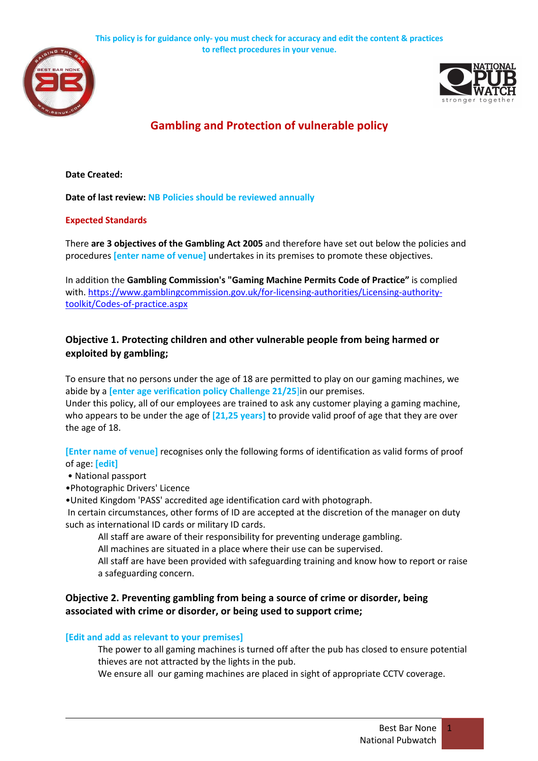



# **Gambling and Protection of vulnerable policy**

**Date Created:**

**Date of last review: NB Policies should be reviewed annually**

### **Expected Standards**

There **are 3 objectives of the Gambling Act 2005** and therefore have set out below the policies and procedures **[enter name of venue]** undertakes in its premises to promote these objectives.

In addition the **Gambling Commission's "Gaming Machine Permits Code of Practice"** is complied with. https://www.gamblingcommission.gov.uk/for-licensing-authorities/Licensing-authoritytoolkit/Codes-of-practice.aspx

# **Objective 1. Protecting children and other vulnerable people from being harmed or exploited by gambling;**

To ensure that no persons under the age of 18 are permitted to play on our gaming machines, we abide by a **[enter age verification policy Challenge 21/25**]in our premises.

Under this policy, all of our employees are trained to ask any customer playing a gaming machine, who appears to be under the age of **[21,25 years]** to provide valid proof of age that they are over the age of 18.

**[Enter name of venue]** recognises only the following forms of identification as valid forms of proof of age: **[edit]**

#### • National passport

•Photographic Drivers' Licence

•United Kingdom 'PASS' accredited age identification card with photograph.

In certain circumstances, other forms of ID are accepted at the discretion of the manager on duty such as international ID cards or military ID cards.

All staff are aware of their responsibility for preventing underage gambling.

All machines are situated in a place where their use can be supervised.

 All staff are have been provided with safeguarding training and know how to report or raise a safeguarding concern.

## **Objective 2. Preventing gambling from being a source of crime or disorder, being associated with crime or disorder, or being used to support crime;**

### **[Edit and add as relevant to your premises]**

 The power to all gaming machines is turned off after the pub has closed to ensure potential thieves are not attracted by the lights in the pub.

We ensure all our gaming machines are placed in sight of appropriate CCTV coverage.

1